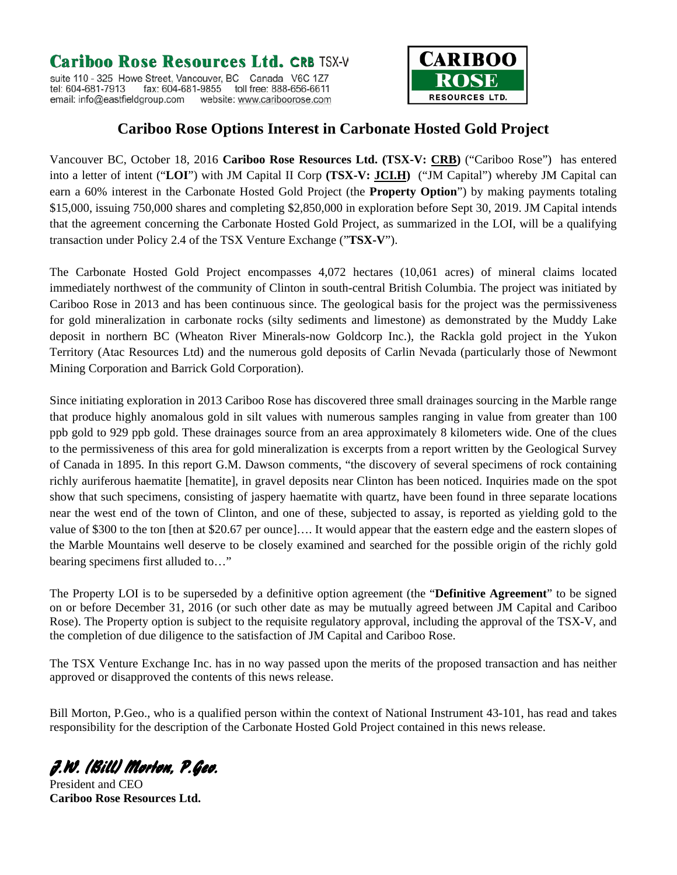## Cariboo Rose Resources Ltd. CRB TSX-V

suite 110 - 325 Howe Street, Vancouver, BC Canada V6C 1Z7 fax: 604-681-9855 toll free: 888-656-6611 tel: 604-681-7913 email: info@eastfieldgroup.com website: www.cariboorose.com



## **Cariboo Rose Options Interest in Carbonate Hosted Gold Project**

Vancouver BC, October 18, 2016 **Cariboo Rose Resources Ltd. (TSX-V: [CRB\)](http://finance.yahoo.com/q?s=crb.v&d=t)** ("Cariboo Rose") has entered into a letter of intent ("**LOI**") with JM Capital II Corp **(TSX-V: [JCI.H\)](http://finance.yahoo.com/q?s=crb.v&d=t)** ("JM Capital") whereby JM Capital can earn a 60% interest in the Carbonate Hosted Gold Project (the **Property Option**") by making payments totaling \$15,000, issuing 750,000 shares and completing \$2,850,000 in exploration before Sept 30, 2019. JM Capital intends that the agreement concerning the Carbonate Hosted Gold Project, as summarized in the LOI, will be a qualifying transaction under Policy 2.4 of the TSX Venture Exchange ("**TSX-V**").

The Carbonate Hosted Gold Project encompasses 4,072 hectares (10,061 acres) of mineral claims located immediately northwest of the community of Clinton in south-central British Columbia. The project was initiated by Cariboo Rose in 2013 and has been continuous since. The geological basis for the project was the permissiveness for gold mineralization in carbonate rocks (silty sediments and limestone) as demonstrated by the Muddy Lake deposit in northern BC (Wheaton River Minerals-now Goldcorp Inc.), the Rackla gold project in the Yukon Territory (Atac Resources Ltd) and the numerous gold deposits of Carlin Nevada (particularly those of Newmont Mining Corporation and Barrick Gold Corporation).

Since initiating exploration in 2013 Cariboo Rose has discovered three small drainages sourcing in the Marble range that produce highly anomalous gold in silt values with numerous samples ranging in value from greater than 100 ppb gold to 929 ppb gold. These drainages source from an area approximately 8 kilometers wide. One of the clues to the permissiveness of this area for gold mineralization is excerpts from a report written by the Geological Survey of Canada in 1895. In this report G.M. Dawson comments, "the discovery of several specimens of rock containing richly auriferous haematite [hematite], in gravel deposits near Clinton has been noticed. Inquiries made on the spot show that such specimens, consisting of jaspery haematite with quartz, have been found in three separate locations near the west end of the town of Clinton, and one of these, subjected to assay, is reported as yielding gold to the value of \$300 to the ton [then at \$20.67 per ounce]…. It would appear that the eastern edge and the eastern slopes of the Marble Mountains well deserve to be closely examined and searched for the possible origin of the richly gold bearing specimens first alluded to…"

The Property LOI is to be superseded by a definitive option agreement (the "**Definitive Agreement**" to be signed on or before December 31, 2016 (or such other date as may be mutually agreed between JM Capital and Cariboo Rose). The Property option is subject to the requisite regulatory approval, including the approval of the TSX-V, and the completion of due diligence to the satisfaction of JM Capital and Cariboo Rose.

The TSX Venture Exchange Inc. has in no way passed upon the merits of the proposed transaction and has neither approved or disapproved the contents of this news release.

Bill Morton, P.Geo., who is a qualified person within the context of National Instrument 43-101, has read and takes responsibility for the description of the Carbonate Hosted Gold Project contained in this news release.

J.W. (Bill) Morton, P.Geo.

President and CEO **Cariboo Rose Resources Ltd.**